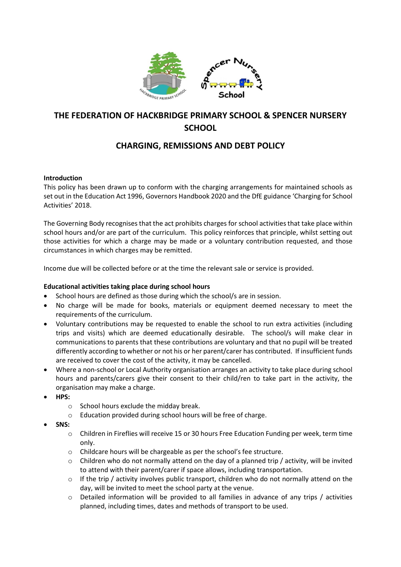

# **THE FEDERATION OF HACKBRIDGE PRIMARY SCHOOL & SPENCER NURSERY SCHOOL**

## **CHARGING, REMISSIONS AND DEBT POLICY**

## **Introduction**

This policy has been drawn up to conform with the charging arrangements for maintained schools as set out in the Education Act 1996, Governors Handbook 2020 and the DfE guidance 'Charging for School Activities' 2018.

The Governing Body recognises that the act prohibits charges for school activities that take place within school hours and/or are part of the curriculum. This policy reinforces that principle, whilst setting out those activities for which a charge may be made or a voluntary contribution requested, and those circumstances in which charges may be remitted.

Income due will be collected before or at the time the relevant sale or service is provided.

## **Educational activities taking place during school hours**

- School hours are defined as those during which the school/s are in session.
- No charge will be made for books, materials or equipment deemed necessary to meet the requirements of the curriculum.
- Voluntary contributions may be requested to enable the school to run extra activities (including trips and visits) which are deemed educationally desirable. The school/s will make clear in communications to parents that these contributions are voluntary and that no pupil will be treated differently according to whether or not his or her parent/carer has contributed. If insufficient funds are received to cover the cost of the activity, it may be cancelled.
- Where a non-school or Local Authority organisation arranges an activity to take place during school hours and parents/carers give their consent to their child/ren to take part in the activity, the organisation may make a charge.
- **HPS:** 
	- o School hours exclude the midday break.
	- o Education provided during school hours will be free of charge.
- **SNS:**
	- o Children in Fireflies will receive 15 or 30 hours Free Education Funding per week, term time only.
	- o Childcare hours will be chargeable as per the school's fee structure.
	- $\circ$  Children who do not normally attend on the day of a planned trip / activity, will be invited to attend with their parent/carer if space allows, including transportation.
	- $\circ$  If the trip / activity involves public transport, children who do not normally attend on the day, will be invited to meet the school party at the venue.
	- o Detailed information will be provided to all families in advance of any trips / activities planned, including times, dates and methods of transport to be used.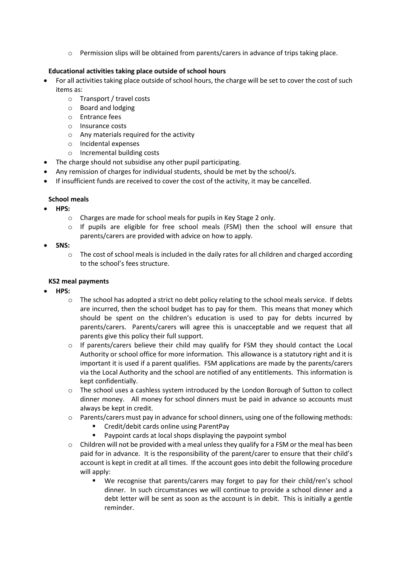o Permission slips will be obtained from parents/carers in advance of trips taking place.

## **Educational activities taking place outside of school hours**

- For all activities taking place outside of school hours, the charge will be set to cover the cost of such items as:
	- o Transport / travel costs
	- o Board and lodging
	- o Entrance fees
	- o Insurance costs
	- o Any materials required for the activity
	- o Incidental expenses
	- o Incremental building costs
- The charge should not subsidise any other pupil participating.
- Any remission of charges for individual students, should be met by the school/s.
- If insufficient funds are received to cover the cost of the activity, it may be cancelled.

## **School meals**

- **HPS:**
	- o Charges are made for school meals for pupils in Key Stage 2 only.
	- $\circ$  If pupils are eligible for free school meals (FSM) then the school will ensure that parents/carers are provided with advice on how to apply.
- **SNS:**
	- $\circ$  The cost of school meals is included in the daily rates for all children and charged according to the school's fees structure.

## **KS2 meal payments**

- **HPS:**
	- $\circ$  The school has adopted a strict no debt policy relating to the school meals service. If debts are incurred, then the school budget has to pay for them. This means that money which should be spent on the children's education is used to pay for debts incurred by parents/carers. Parents/carers will agree this is unacceptable and we request that all parents give this policy their full support.
	- $\circ$  If parents/carers believe their child may qualify for FSM they should contact the Local Authority or school office for more information. This allowance is a statutory right and it is important it is used if a parent qualifies. FSM applications are made by the parents/carers via the Local Authority and the school are notified of any entitlements. This information is kept confidentially.
	- $\circ$  The school uses a cashless system introduced by the London Borough of Sutton to collect dinner money. All money for school dinners must be paid in advance so accounts must always be kept in credit.
	- $\circ$  Parents/carers must pay in advance for school dinners, using one of the following methods:
		- Credit/debit cards online using ParentPay
		- **Paypoint cards at local shops displaying the paypoint symbol**
	- $\circ$  Children will not be provided with a meal unless they qualify for a FSM or the meal has been paid for in advance. It is the responsibility of the parent/carer to ensure that their child's account is kept in credit at all times. If the account goes into debit the following procedure will apply:
		- We recognise that parents/carers may forget to pay for their child/ren's school dinner. In such circumstances we will continue to provide a school dinner and a debt letter will be sent as soon as the account is in debit. This is initially a gentle reminder.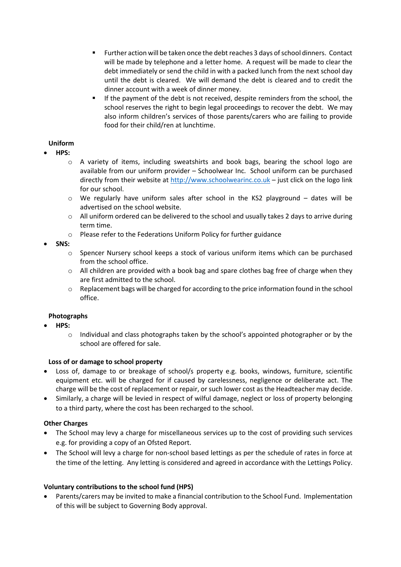- Further action will be taken once the debt reaches 3 days of school dinners. Contact will be made by telephone and a letter home. A request will be made to clear the debt immediately or send the child in with a packed lunch from the next school day until the debt is cleared. We will demand the debt is cleared and to credit the dinner account with a week of dinner money.
- If the payment of the debt is not received, despite reminders from the school, the school reserves the right to begin legal proceedings to recover the debt. We may also inform children's services of those parents/carers who are failing to provide food for their child/ren at lunchtime.

## **Uniform**

- **HPS:**
	- o A variety of items, including sweatshirts and book bags, bearing the school logo are available from our uniform provider – Schoolwear Inc. School uniform can be purchased directly from their website at [http://www.schoolwearinc.co.uk](http://www.schoolwearinc.co.uk/) - just click on the logo link for our school.
	- $\circ$  We regularly have uniform sales after school in the KS2 playground dates will be advertised on the school website.
	- $\circ$  All uniform ordered can be delivered to the school and usually takes 2 days to arrive during term time.
	- o Please refer to the Federations Uniform Policy for further guidance
- **SNS:**
	- $\circ$  Spencer Nursery school keeps a stock of various uniform items which can be purchased from the school office.
	- o All children are provided with a book bag and spare clothes bag free of charge when they are first admitted to the school.
	- $\circ$  Replacement bags will be charged for according to the price information found in the school office.

#### **Photographs**

- **HPS:**
	- $\circ$  Individual and class photographs taken by the school's appointed photographer or by the school are offered for sale.

#### **Loss of or damage to school property**

- Loss of, damage to or breakage of school/s property e.g. books, windows, furniture, scientific equipment etc. will be charged for if caused by carelessness, negligence or deliberate act. The charge will be the cost of replacement or repair, or such lower cost as the Headteacher may decide.
- Similarly, a charge will be levied in respect of wilful damage, neglect or loss of property belonging to a third party, where the cost has been recharged to the school.

## **Other Charges**

- The School may levy a charge for miscellaneous services up to the cost of providing such services e.g. for providing a copy of an Ofsted Report.
- The School will levy a charge for non-school based lettings as per the schedule of rates in force at the time of the letting. Any letting is considered and agreed in accordance with the Lettings Policy.

#### **Voluntary contributions to the school fund (HPS)**

• Parents/carers may be invited to make a financial contribution to the School Fund. Implementation of this will be subject to Governing Body approval.